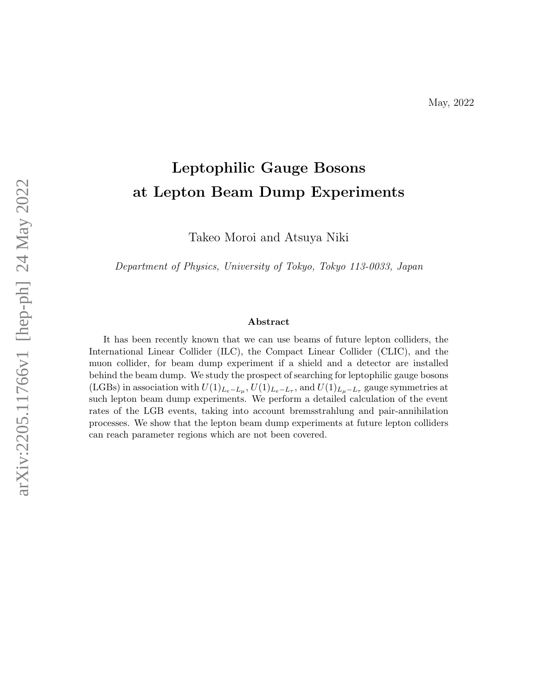# Leptophilic Gauge Bosons at Lepton Beam Dump Experiments

Takeo Moroi and Atsuya Niki

Department of Physics, University of Tokyo, Tokyo 113-0033, Japan

#### Abstract

It has been recently known that we can use beams of future lepton colliders, the International Linear Collider (ILC), the Compact Linear Collider (CLIC), and the muon collider, for beam dump experiment if a shield and a detector are installed behind the beam dump. We study the prospect of searching for leptophilic gauge bosons (LGBs) in association with  $U(1)_{L_e-L_\mu}$ ,  $U(1)_{L_e-L_\tau}$ , and  $U(1)_{L_\mu-L_\tau}$  gauge symmetries at such lepton beam dump experiments. We perform a detailed calculation of the event rates of the LGB events, taking into account bremsstrahlung and pair-annihilation processes. We show that the lepton beam dump experiments at future lepton colliders can reach parameter regions which are not been covered.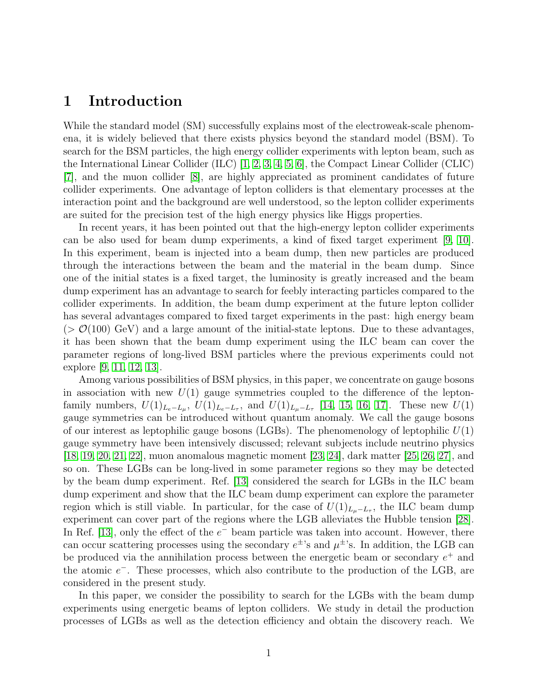## 1 Introduction

While the standard model (SM) successfully explains most of the electroweak-scale phenomena, it is widely believed that there exists physics beyond the standard model (BSM). To search for the BSM particles, the high energy collider experiments with lepton beam, such as the International Linear Collider (ILC) [\[1,](#page-18-0) [2,](#page-18-1) [3,](#page-18-2) [4,](#page-18-3) [5,](#page-19-0) [6\]](#page-19-1), the Compact Linear Collider (CLIC) [\[7\]](#page-19-2), and the muon collider [\[8\]](#page-19-3), are highly appreciated as prominent candidates of future collider experiments. One advantage of lepton colliders is that elementary processes at the interaction point and the background are well understood, so the lepton collider experiments are suited for the precision test of the high energy physics like Higgs properties.

In recent years, it has been pointed out that the high-energy lepton collider experiments can be also used for beam dump experiments, a kind of fixed target experiment [\[9,](#page-19-4) [10\]](#page-19-5). In this experiment, beam is injected into a beam dump, then new particles are produced through the interactions between the beam and the material in the beam dump. Since one of the initial states is a fixed target, the luminosity is greatly increased and the beam dump experiment has an advantage to search for feebly interacting particles compared to the collider experiments. In addition, the beam dump experiment at the future lepton collider has several advantages compared to fixed target experiments in the past: high energy beam  $(> \mathcal{O}(100) \,\mathrm{GeV})$  and a large amount of the initial-state leptons. Due to these advantages, it has been shown that the beam dump experiment using the ILC beam can cover the parameter regions of long-lived BSM particles where the previous experiments could not explore [\[9,](#page-19-4) [11,](#page-19-6) [12,](#page-19-7) [13\]](#page-19-8).

Among various possibilities of BSM physics, in this paper, we concentrate on gauge bosons in association with new  $U(1)$  gauge symmetries coupled to the difference of the leptonfamily numbers,  $U(1)_{L_e-L_\mu}$ ,  $U(1)_{L_e-L_\tau}$ , and  $U(1)_{L_\mu-L_\tau}$  [\[14,](#page-19-9) [15,](#page-19-10) [16,](#page-19-11) [17\]](#page-19-12). These new  $U(1)$ gauge symmetries can be introduced without quantum anomaly. We call the gauge bosons of our interest as leptophilic gauge bosons (LGBs). The phenomenology of leptophilic  $U(1)$ gauge symmetry have been intensively discussed; relevant subjects include neutrino physics [\[18,](#page-19-13) [19,](#page-19-14) [20,](#page-19-15) [21,](#page-20-0) [22\]](#page-20-1), muon anomalous magnetic moment [\[23,](#page-20-2) [24\]](#page-20-3), dark matter [\[25,](#page-20-4) [26,](#page-20-5) [27\]](#page-20-6), and so on. These LGBs can be long-lived in some parameter regions so they may be detected by the beam dump experiment. Ref. [\[13\]](#page-19-8) considered the search for LGBs in the ILC beam dump experiment and show that the ILC beam dump experiment can explore the parameter region which is still viable. In particular, for the case of  $U(1)_{L_{\mu}-L_{\tau}}$ , the ILC beam dump experiment can cover part of the regions where the LGB alleviates the Hubble tension [\[28\]](#page-20-7). In Ref. [\[13\]](#page-19-8), only the effect of the  $e^-$  beam particle was taken into account. However, there can occur scattering processes using the secondary  $e^{\pm}$ 's and  $\mu^{\pm}$ 's. In addition, the LGB can be produced via the annihilation process between the energetic beam or secondary  $e^+$  and the atomic  $e^-$ . These processes, which also contribute to the production of the LGB, are considered in the present study.

In this paper, we consider the possibility to search for the LGBs with the beam dump experiments using energetic beams of lepton colliders. We study in detail the production processes of LGBs as well as the detection efficiency and obtain the discovery reach. We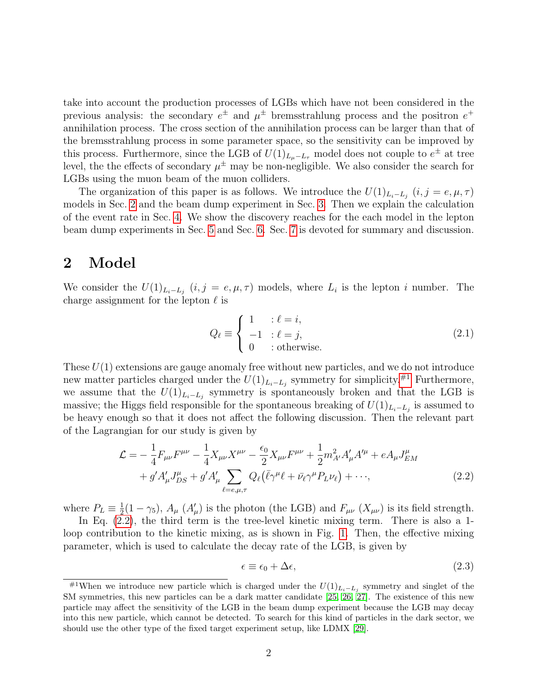take into account the production processes of LGBs which have not been considered in the previous analysis: the secondary  $e^{\pm}$  and  $\mu^{\pm}$  bremsstrahlung process and the positron  $e^+$ annihilation process. The cross section of the annihilation process can be larger than that of the bremsstrahlung process in some parameter space, so the sensitivity can be improved by this process. Furthermore, since the LGB of  $U(1)_{L_{\mu}-L_{\tau}}$  model does not couple to  $e^{\pm}$  at tree level, the the effects of secondary  $\mu^{\pm}$  may be non-negligible. We also consider the search for LGBs using the muon beam of the muon colliders.

The organization of this paper is as follows. We introduce the  $U(1)_{L_i-L_j}$   $(i, j = e, \mu, \tau)$ models in Sec. [2](#page-2-0) and the beam dump experiment in Sec. [3.](#page-5-0) Then we explain the calculation of the event rate in Sec. [4.](#page-6-0) We show the discovery reaches for the each model in the lepton beam dump experiments in Sec. [5](#page-11-0) and Sec. [6.](#page-15-0) Sec. [7](#page-18-4) is devoted for summary and discussion.

## <span id="page-2-0"></span>2 Model

We consider the  $U(1)_{L_i-L_j}$   $(i, j = e, \mu, \tau)$  models, where  $L_i$  is the lepton i number. The charge assignment for the lepton  $\ell$  is

$$
Q_{\ell} \equiv \begin{cases} 1 & \text{: } \ell = i, \\ -1 & \text{: } \ell = j, \\ 0 & \text{: otherwise.} \end{cases} \tag{2.1}
$$

These  $U(1)$  extensions are gauge anomaly free without new particles, and we do not introduce new matter particles charged under the  $U(1)_{L_i-L_j}$  symmetry for simplicity.<sup>[#1](#page-2-1)</sup> Furthermore, we assume that the  $U(1)_{L_i-L_j}$  symmetry is spontaneously broken and that the LGB is massive; the Higgs field responsible for the spontaneous breaking of  $U(1)_{L_i-L_j}$  is assumed to be heavy enough so that it does not affect the following discussion. Then the relevant part of the Lagrangian for our study is given by

$$
\mathcal{L} = -\frac{1}{4} F_{\mu\nu} F^{\mu\nu} - \frac{1}{4} X_{\mu\nu} X^{\mu\nu} - \frac{\epsilon_0}{2} X_{\mu\nu} F^{\mu\nu} + \frac{1}{2} m_{A'}^2 A'_{\mu} A'^{\mu} + e A_{\mu} J_{EM}^{\mu} + g' A'_{\mu} J_{DS}^{\mu} + g' A'_{\mu} \sum_{\ell = e, \mu, \tau} Q_{\ell} (\bar{\ell} \gamma^{\mu} \ell + \bar{\nu}_{\ell} \gamma^{\mu} P_{L} \nu_{\ell}) + \cdots,
$$
\n(2.2)

where  $P_L \equiv \frac{1}{2}$  $\frac{1}{2}(1-\gamma_5)$ ,  $A_\mu$  ( $A'_\mu$ ) is the photon (the LGB) and  $F_{\mu\nu}$  ( $X_{\mu\nu}$ ) is its field strength.

In Eq. [\(2.2\)](#page-2-2), the third term is the tree-level kinetic mixing term. There is also a 1 loop contribution to the kinetic mixing, as is shown in Fig. [1.](#page-3-0) Then, the effective mixing parameter, which is used to calculate the decay rate of the LGB, is given by

<span id="page-2-2"></span>
$$
\epsilon \equiv \epsilon_0 + \Delta \epsilon,\tag{2.3}
$$

<span id="page-2-1"></span><sup>&</sup>lt;sup>#1</sup>When we introduce new particle which is charged under the  $U(1)_{L_i-L_j}$  symmetry and singlet of the SM symmetries, this new particles can be a dark matter candidate [\[25,](#page-20-4) [26,](#page-20-5) [27\]](#page-20-6). The existence of this new particle may affect the sensitivity of the LGB in the beam dump experiment because the LGB may decay into this new particle, which cannot be detected. To search for this kind of particles in the dark sector, we should use the other type of the fixed target experiment setup, like LDMX [\[29\]](#page-20-8).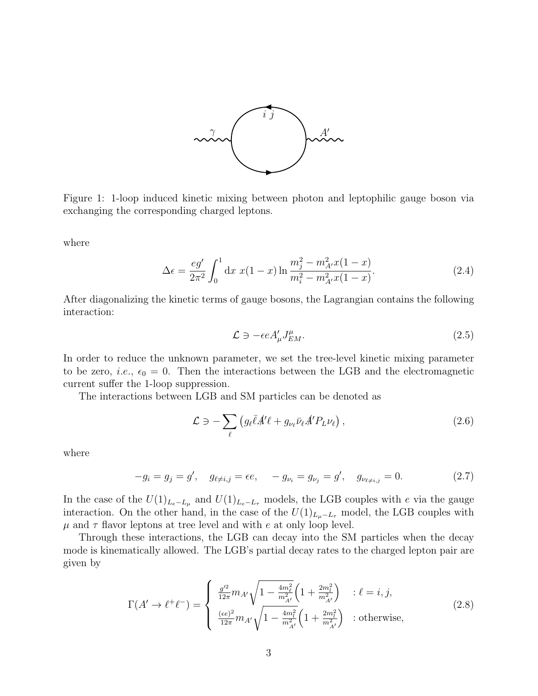

<span id="page-3-0"></span>Figure 1: 1-loop induced kinetic mixing between photon and leptophilic gauge boson via exchanging the corresponding charged leptons.

where

$$
\Delta \epsilon = \frac{eg'}{2\pi^2} \int_0^1 dx \ x(1-x) \ln \frac{m_j^2 - m_{A'}^2 x(1-x)}{m_i^2 - m_{A'}^2 x(1-x)}.
$$
\n(2.4)

After diagonalizing the kinetic terms of gauge bosons, the Lagrangian contains the following interaction:

$$
\mathcal{L} \ni -\epsilon e A'_{\mu} J_{EM}^{\mu}.
$$
\n(2.5)

In order to reduce the unknown parameter, we set the tree-level kinetic mixing parameter to be zero, *i.e.*,  $\epsilon_0 = 0$ . Then the interactions between the LGB and the electromagnetic current suffer the 1-loop suppression.

The interactions between LGB and SM particles can be denoted as

$$
\mathcal{L} \ni -\sum_{\ell} \left( g_{\ell} \bar{\ell} A^{\prime} \ell + g_{\nu_{\ell}} \bar{\nu}_{\ell} A^{\prime} P_{L} \nu_{\ell} \right), \tag{2.6}
$$

where

$$
-g_i = g_j = g', \quad g_{\ell \neq i,j} = \epsilon e, \quad -g_{\nu_i} = g_{\nu_j} = g', \quad g_{\nu_{\ell \neq i,j}} = 0.
$$
 (2.7)

In the case of the  $U(1)_{L_e-L_\mu}$  and  $U(1)_{L_e-L_\tau}$  models, the LGB couples with e via the gauge interaction. On the other hand, in the case of the  $U(1)_{L_{\mu}-L_{\tau}}$  model, the LGB couples with  $\mu$  and  $\tau$  flavor leptons at tree level and with e at only loop level.

Through these interactions, the LGB can decay into the SM particles when the decay mode is kinematically allowed. The LGB's partial decay rates to the charged lepton pair are given by

$$
\Gamma(A' \to \ell^+ \ell^-) = \begin{cases} \frac{g'^2}{12\pi} m_{A'} \sqrt{1 - \frac{4m_\ell^2}{m_{A'}^2}} \left( 1 + \frac{2m_l^2}{m_{A'}^2} \right) & \text{: } \ell = i, j, \\ \frac{(\epsilon e)^2}{12\pi} m_{A'} \sqrt{1 - \frac{4m_l^2}{m_{A'}^2}} \left( 1 + \frac{2m_l^2}{m_{A'}^2} \right) & \text{: otherwise,} \end{cases} \tag{2.8}
$$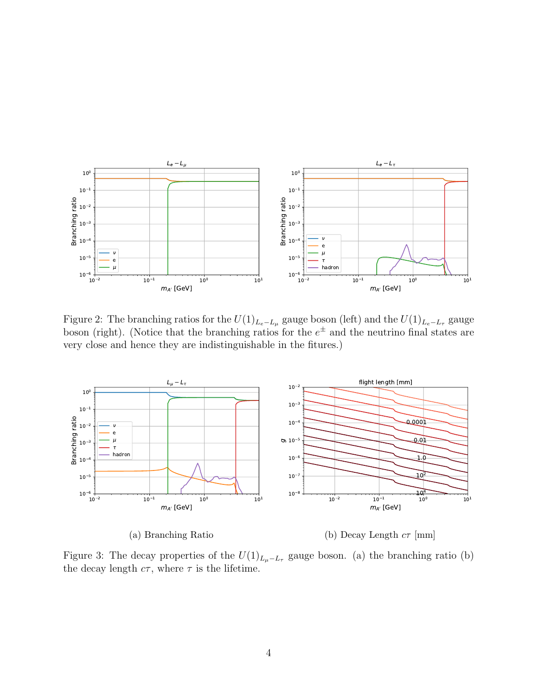<span id="page-4-0"></span>

Figure 2: The branching ratios for the  $U(1)_{L_e-L_\mu}$  gauge boson (left) and the  $U(1)_{L_e-L_\tau}$  gauge boson (right). (Notice that the branching ratios for the  $e^{\pm}$  and the neutrino final states are very close and hence they are indistinguishable in the fitures.)



(a) Branching Ratio

(b) Decay Length  $c\tau$  [mm]

Figure 3: The decay properties of the  $U(1)_{L_{\mu}-L_{\tau}}$  gauge boson. (a) the branching ratio (b) the decay length  $c\tau$ , where  $\tau$  is the lifetime.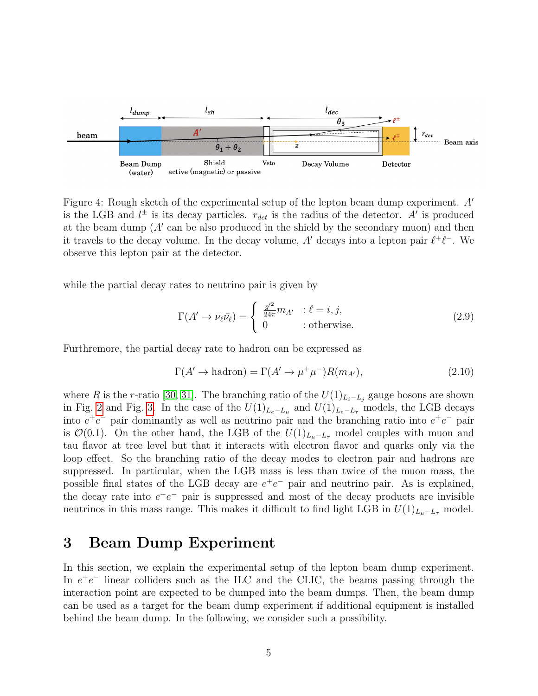<span id="page-5-1"></span>

Figure 4: Rough sketch of the experimental setup of the lepton beam dump experiment.  $A'$ is the LGB and  $l^{\pm}$  is its decay particles.  $r_{det}$  is the radius of the detector. A' is produced at the beam dump  $(A'$  can be also produced in the shield by the secondary muon) and then it travels to the decay volume. In the decay volume, A' decays into a lepton pair  $\ell^+ \ell^-$ . We observe this lepton pair at the detector.

while the partial decay rates to neutrino pair is given by

$$
\Gamma(A' \to \nu_{\ell} \bar{\nu}_{\ell}) = \begin{cases} \frac{g'^2}{24\pi} m_{A'} & \text{: } \ell = i, j, \\ 0 & \text{: otherwise.} \end{cases}
$$
 (2.9)

Furthremore, the partial decay rate to hadron can be expressed as

$$
\Gamma(A' \to \text{hadron}) = \Gamma(A' \to \mu^+ \mu^-) R(m_{A'}),\tag{2.10}
$$

where R is the r-ratio [\[30,](#page-20-9) [31\]](#page-20-10). The branching ratio of the  $U(1)_{L_i-L_j}$  gauge bosons are shown in Fig. [2](#page-4-0) and Fig. [3.](#page-4-0) In the case of the  $U(1)_{L_e-L_\mu}$  and  $U(1)_{L_e-L_\tau}$  models, the LGB decays into  $e^+e^-$  pair dominantly as well as neutrino pair and the branching ratio into  $e^+e^-$  pair is  $\mathcal{O}(0.1)$ . On the other hand, the LGB of the  $U(1)_{L_u-L_\tau}$  model couples with muon and tau flavor at tree level but that it interacts with electron flavor and quarks only via the loop effect. So the branching ratio of the decay modes to electron pair and hadrons are suppressed. In particular, when the LGB mass is less than twice of the muon mass, the possible final states of the LGB decay are  $e^+e^-$  pair and neutrino pair. As is explained, the decay rate into  $e^+e^-$  pair is suppressed and most of the decay products are invisible neutrinos in this mass range. This makes it difficult to find light LGB in  $U(1)_{L_u-L_{\tau}}$  model.

## <span id="page-5-0"></span>3 Beam Dump Experiment

In this section, we explain the experimental setup of the lepton beam dump experiment. In  $e^+e^-$  linear colliders such as the ILC and the CLIC, the beams passing through the interaction point are expected to be dumped into the beam dumps. Then, the beam dump can be used as a target for the beam dump experiment if additional equipment is installed behind the beam dump. In the following, we consider such a possibility.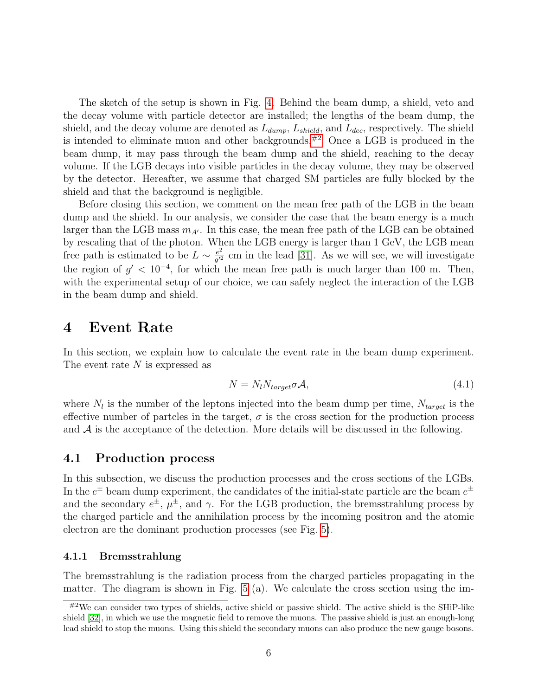The sketch of the setup is shown in Fig. [4.](#page-5-1) Behind the beam dump, a shield, veto and the decay volume with particle detector are installed; the lengths of the beam dump, the shield, and the decay volume are denoted as  $L_{dump}$ ,  $L_{shield}$ , and  $L_{dec}$ , respectively. The shield is intended to eliminate muon and other backgrounds. $#2$  Once a LGB is produced in the beam dump, it may pass through the beam dump and the shield, reaching to the decay volume. If the LGB decays into visible particles in the decay volume, they may be observed by the detector. Hereafter, we assume that charged SM particles are fully blocked by the shield and that the background is negligible.

Before closing this section, we comment on the mean free path of the LGB in the beam dump and the shield. In our analysis, we consider the case that the beam energy is a much larger than the LGB mass  $m_{A'}$ . In this case, the mean free path of the LGB can be obtained by rescaling that of the photon. When the LGB energy is larger than 1 GeV, the LGB mean free path is estimated to be  $L \sim \frac{e^2}{a'^2}$  $\frac{e^2}{g'^2}$  cm in the lead [\[31\]](#page-20-10). As we will see, we will investigate the region of  $g' < 10^{-4}$ , for which the mean free path is much larger than 100 m. Then, with the experimental setup of our choice, we can safely neglect the interaction of the LGB in the beam dump and shield.

## <span id="page-6-0"></span>4 Event Rate

In this section, we explain how to calculate the event rate in the beam dump experiment. The event rate N is expressed as

<span id="page-6-2"></span>
$$
N = N_l N_{target} \sigma \mathcal{A}, \qquad (4.1)
$$

where  $N_l$  is the number of the leptons injected into the beam dump per time,  $N_{target}$  is the effective number of partcles in the target,  $\sigma$  is the cross section for the production process and  $A$  is the acceptance of the detection. More details will be discussed in the following.

### 4.1 Production process

In this subsection, we discuss the production processes and the cross sections of the LGBs. In the  $e^{\pm}$  beam dump experiment, the candidates of the initial-state particle are the beam  $e^{\pm}$ and the secondary  $e^{\pm}$ ,  $\mu^{\pm}$ , and  $\gamma$ . For the LGB production, the bremsstrahlung process by the charged particle and the annihilation process by the incoming positron and the atomic electron are the dominant production processes (see Fig. [5\)](#page-7-0).

#### 4.1.1 Bremsstrahlung

The bremsstrahlung is the radiation process from the charged particles propagating in the matter. The diagram is shown in Fig. [5](#page-7-0) (a). We calculate the cross section using the im-

<span id="page-6-1"></span> $^{20}$ We can consider two types of shields, active shield or passive shield. The active shield is the SHiP-like shield [\[32\]](#page-20-11), in which we use the magnetic field to remove the muons. The passive shield is just an enough-long lead shield to stop the muons. Using this shield the secondary muons can also produce the new gauge bosons.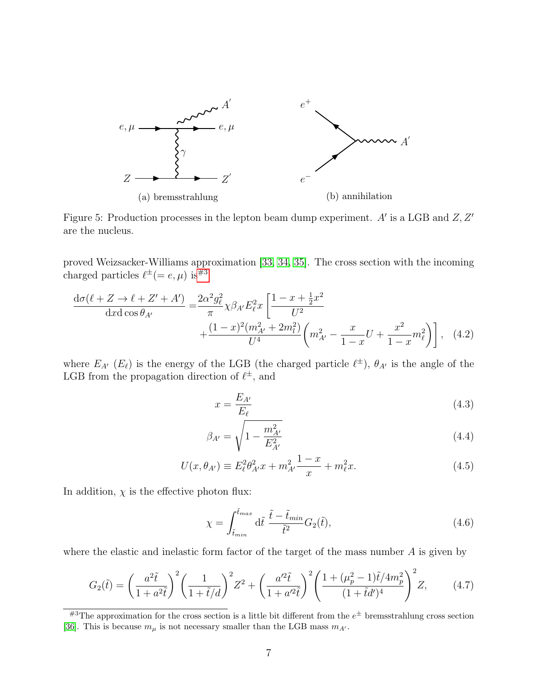<span id="page-7-0"></span>

Figure 5: Production processes in the lepton beam dump experiment.  $A'$  is a LGB and  $Z, Z'$ are the nucleus.

proved Weizsacker-Williams approximation [\[33,](#page-20-12) [34,](#page-20-13) [35\]](#page-20-14). The cross section with the incoming charged particles  $\ell^{\pm} (= e, \mu)$  is  $\#^3$ 

$$
\frac{d\sigma(\ell+Z \to \ell+Z'+A')}{dxd\cos\theta_{A'}} = \frac{2\alpha^2 g_\ell^2}{\pi} \chi \beta_{A'} E_\ell^2 x \left[ \frac{1-x+\frac{1}{2}x^2}{U^2} + \frac{(1-x)^2(m_{A'}^2 + 2m_l^2)}{U^4} \left( m_{A'}^2 - \frac{x}{1-x} U + \frac{x^2}{1-x} m_\ell^2 \right) \right], \quad (4.2)
$$

where  $E_{A'}(E_\ell)$  is the energy of the LGB (the charged particle  $\ell^{\pm}$ ),  $\theta_{A'}$  is the angle of the LGB from the propagation direction of  $\ell^{\pm}$ , and

$$
x = \frac{E_{A'}}{E_{\ell}}\tag{4.3}
$$

$$
\beta_{A'} = \sqrt{1 - \frac{m_{A'}^2}{E_{A'}^2}}\tag{4.4}
$$

$$
U(x, \theta_{A'}) \equiv E_{\ell}^2 \theta_{A'}^2 x + m_{A'}^2 \frac{1 - x}{x} + m_{\ell}^2 x.
$$
 (4.5)

In addition,  $\chi$  is the effective photon flux:

$$
\chi = \int_{\tilde{t}_{min}}^{\tilde{t}_{max}} d\tilde{t} \frac{\tilde{t} - \tilde{t}_{min}}{\tilde{t}^2} G_2(\tilde{t}),
$$
\n(4.6)

where the elastic and inelastic form factor of the target of the mass number  $A$  is given by

$$
G_2(\tilde{t}) = \left(\frac{a^2 \tilde{t}}{1 + a^2 \tilde{t}}\right)^2 \left(\frac{1}{1 + \tilde{t}/d}\right)^2 Z^2 + \left(\frac{a'^2 \tilde{t}}{1 + a'^2 \tilde{t}}\right)^2 \left(\frac{1 + (\mu_p^2 - 1)\tilde{t}/4m_p^2}{(1 + \tilde{t}d')^4}\right)^2 Z,\tag{4.7}
$$

<span id="page-7-1"></span> $^{#3}$ The approximation for the cross section is a little bit different from the  $e^{\pm}$  bremsstrahlung cross section [\[36\]](#page-21-0). This is because  $m_\mu$  is not necessary smaller than the LGB mass  $m_{A^\prime}.$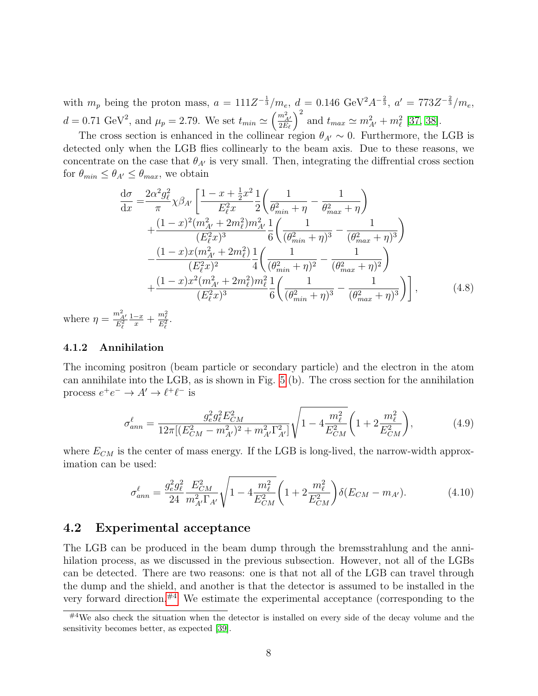with  $m_p$  being the proton mass,  $a = 111Z^{-\frac{1}{3}}/m_e$ ,  $d = 0.146 \text{ GeV}^2 A^{-\frac{2}{3}}$ ,  $a' = 773Z^{-\frac{2}{3}}/m_e$ ,  $d = 0.71 \text{ GeV}^2$ , and  $\mu_p = 2.79$ . We set  $t_{min} \simeq \left(\frac{m_{A'}^2}{2E_e}\right)$  $2E_\ell$  $\int_{0}^{2}$  and  $t_{max} \simeq m_{A'}^{2} + m_{\ell}^{2}$  [\[37,](#page-21-1) [38\]](#page-21-2).

The cross section is enhanced in the collinear region  $\theta_{A'} \sim 0$ . Furthermore, the LGB is detected only when the LGB flies collinearly to the beam axis. Due to these reasons, we concentrate on the case that  $\theta_{A'}$  is very small. Then, integrating the diffrential cross section for  $\theta_{min} \leq \theta_{A'} \leq \theta_{max}$ , we obtain

$$
\frac{d\sigma}{dx} = \frac{2\alpha^2 g_\ell^2}{\pi} \chi \beta_{A'} \left[ \frac{1 - x + \frac{1}{2}x^2}{E_\ell^2 x} \frac{1}{2} \left( \frac{1}{\theta_{min}^2 + \eta} - \frac{1}{\theta_{max}^2 + \eta} \right) \right. \left. + \frac{(1 - x)^2 (m_{A'}^2 + 2m_\ell^2) m_{A'}^2}{(E_\ell^2 x)^3} \frac{1}{6} \left( \frac{1}{(\theta_{min}^2 + \eta)^3} - \frac{1}{(\theta_{max}^2 + \eta)^3} \right) \right. \left. - \frac{(1 - x)x (m_{A'}^2 + 2m_\ell^2)}{(E_\ell^2 x)^2} \frac{1}{4} \left( \frac{1}{(\theta_{min}^2 + \eta)^2} - \frac{1}{(\theta_{max}^2 + \eta)^2} \right) \right. \left. + \frac{(1 - x)x^2 (m_{A'}^2 + 2m_\ell^2) m_\ell^2}{(E_\ell^2 x)^3} \frac{1}{6} \left( \frac{1}{(\theta_{min}^2 + \eta)^3} - \frac{1}{(\theta_{max}^2 + \eta)^3} \right) \right],
$$
(4.8)

where  $\eta = \frac{m_{A'}^2}{E_\ell^2}$  $\frac{1-x}{x} + \frac{m_{\ell}^2}{E_{\ell}^2}.$ 

#### 4.1.2 Annihilation

The incoming positron (beam particle or secondary particle) and the electron in the atom can annihilate into the LGB, as is shown in Fig. [5](#page-7-0) (b). The cross section for the annihilation process  $e^+e^- \to A' \to \ell^+\ell^-$  is

$$
\sigma_{ann}^{\ell} = \frac{g_e^2 g_\ell^2 E_{CM}^2}{12\pi [(E_{CM}^2 - m_{A'}^2)^2 + m_{A'}^2 \Gamma_{A'}^2]} \sqrt{1 - 4\frac{m_\ell^2}{E_{CM}^2}} \left(1 + 2\frac{m_\ell^2}{E_{CM}^2}\right),\tag{4.9}
$$

where  $E_{CM}$  is the center of mass energy. If the LGB is long-lived, the narrow-width approximation can be used:

$$
\sigma_{ann}^{\ell} = \frac{g_e^2 g_\ell^2}{24} \frac{E_{CM}^2}{m_{A'}^2 \Gamma_{A'}} \sqrt{1 - 4 \frac{m_\ell^2}{E_{CM}^2}} \left( 1 + 2 \frac{m_\ell^2}{E_{CM}^2} \right) \delta(E_{CM} - m_{A'}).
$$
 (4.10)

#### 4.2 Experimental acceptance

The LGB can be produced in the beam dump through the bremsstrahlung and the annihilation process, as we discussed in the previous subsection. However, not all of the LGBs can be detected. There are two reasons: one is that not all of the LGB can travel through the dump and the shield, and another is that the detector is assumed to be installed in the very forward direction. $#4$  We estimate the experimental acceptance (corresponding to the

<span id="page-8-0"></span> $^{#4}$ We also check the situation when the detector is installed on every side of the decay volume and the sensitivity becomes better, as expected [\[39\]](#page-21-3).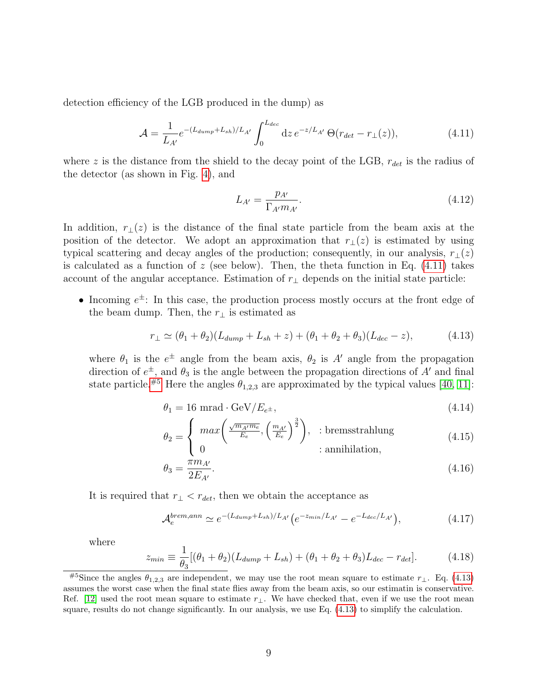detection efficiency of the LGB produced in the dump) as

<span id="page-9-0"></span>
$$
\mathcal{A} = \frac{1}{L_{A'}} e^{-(L_{dump} + L_{sh})/L_{A'}} \int_0^{L_{dec}} dz \, e^{-z/L_{A'}} \, \Theta(r_{det} - r_{\perp}(z)), \tag{4.11}
$$

where z is the distance from the shield to the decay point of the LGB,  $r_{det}$  is the radius of the detector (as shown in Fig. [4\)](#page-5-1), and

$$
L_{A'} = \frac{p_{A'}}{\Gamma_{A'} m_{A'}}.\tag{4.12}
$$

In addition,  $r_{\perp}(z)$  is the distance of the final state particle from the beam axis at the position of the detector. We adopt an approximation that  $r_{\perp}(z)$  is estimated by using typical scattering and decay angles of the production; consequently, in our analysis,  $r_+(z)$ is calculated as a function of z (see below). Then, the theta function in Eq.  $(4.11)$  takes account of the angular acceptance. Estimation of  $r_{\perp}$  depends on the initial state particle:

• Incoming  $e^{\pm}$ : In this case, the production process mostly occurs at the front edge of the beam dump. Then, the  $r_{\perp}$  is estimated as

<span id="page-9-2"></span>
$$
r_{\perp} \simeq (\theta_1 + \theta_2)(L_{dump} + L_{sh} + z) + (\theta_1 + \theta_2 + \theta_3)(L_{dec} - z), \tag{4.13}
$$

where  $\theta_1$  is the  $e^{\pm}$  angle from the beam axis,  $\theta_2$  is A' angle from the propagation direction of  $e^{\pm}$ , and  $\theta_3$  is the angle between the propagation directions of A' and final state particle.<sup>[#5](#page-9-1)</sup> Here the angles  $\theta_{1,2,3}$  are approximated by the typical values [\[40,](#page-21-4) [11\]](#page-19-6):

<span id="page-9-3"></span>
$$
\theta_1 = 16 \text{ mrad} \cdot \text{GeV}/E_{e^{\pm}},\tag{4.14}
$$

$$
\theta_2 = \begin{cases} \max\left(\frac{\sqrt{m_{A'}m_e}}{E_e}, \left(\frac{m_{A'}}{E_e}\right)^{\frac{3}{2}}\right), & \text{: bremsstrahlung} \\ 0 & \text{: annihilation,} \end{cases} \tag{4.15}
$$

$$
\theta_3 = \frac{\pi m_{A'}}{2E_{A'}}.\tag{4.16}
$$

It is required that  $r_{\perp} < r_{det}$ , then we obtain the acceptance as

$$
\mathcal{A}_e^{brem, ann} \simeq e^{-(L_{dump} + L_{sh})/L_{A'}} \left( e^{-z_{min}/L_{A'}} - e^{-L_{dec}/L_{A'}} \right), \tag{4.17}
$$

where

$$
z_{min} \equiv \frac{1}{\theta_3} [(\theta_1 + \theta_2)(L_{dump} + L_{sh}) + (\theta_1 + \theta_2 + \theta_3)L_{dec} - r_{det}].
$$
 (4.18)

<span id="page-9-1"></span><sup>&</sup>lt;sup>#5</sup>Since the angles  $\theta_{1,2,3}$  are independent, we may use the root mean square to estimate  $r_{\perp}$ . Eq. [\(4.13\)](#page-9-2) assumes the worst case when the final state flies away from the beam axis, so our estimatin is conservative. Ref. [\[12\]](#page-19-7) used the root mean square to estimate  $r_{\perp}$ . We have checked that, even if we use the root mean square, results do not change significantly. In our analysis, we use Eq. [\(4.13\)](#page-9-2) to simplify the calculation.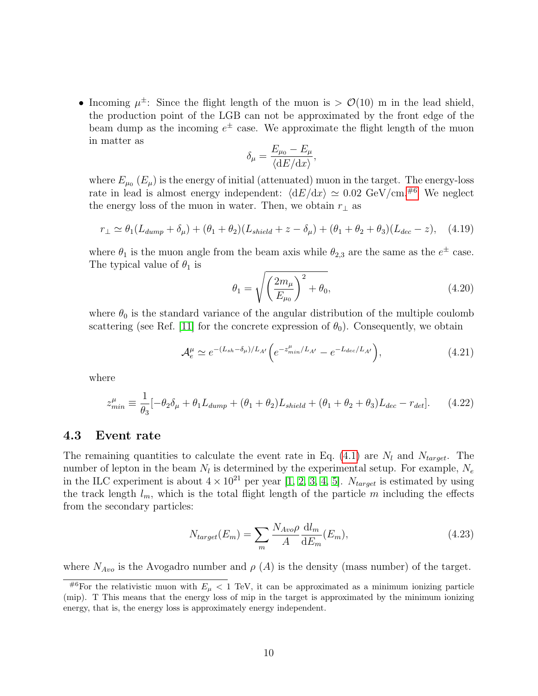• Incoming  $\mu^{\pm}$ : Since the flight length of the muon is  $> \mathcal{O}(10)$  m in the lead shield, the production point of the LGB can not be approximated by the front edge of the beam dump as the incoming  $e^{\pm}$  case. We approximate the flight length of the muon in matter as

$$
\delta_{\mu} = \frac{E_{\mu_0} - E_{\mu}}{\langle dE/dx \rangle},
$$

where  $E_{\mu_0}$  ( $E_{\mu}$ ) is the energy of initial (attenuated) muon in the target. The energy-loss rate in lead is almost energy independent:  $\langle dE/dx \rangle \simeq 0.02$  GeV/cm.<sup>[#6](#page-10-0)</sup> We neglect the energy loss of the muon in water. Then, we obtain  $r_{\perp}$  as

$$
r_{\perp} \simeq \theta_1 (L_{dump} + \delta_{\mu}) + (\theta_1 + \theta_2)(L_{shield} + z - \delta_{\mu}) + (\theta_1 + \theta_2 + \theta_3)(L_{dec} - z), \quad (4.19)
$$

where  $\theta_1$  is the muon angle from the beam axis while  $\theta_{2,3}$  are the same as the  $e^{\pm}$  case. The typical value of  $\theta_1$  is

<span id="page-10-1"></span>
$$
\theta_1 = \sqrt{\left(\frac{2m_\mu}{E_{\mu_0}}\right)^2 + \theta_0},\tag{4.20}
$$

where  $\theta_0$  is the standard variance of the angular distribution of the multiple coulomb scattering (see Ref. [\[11\]](#page-19-6) for the concrete expression of  $\theta_0$ ). Consequently, we obtain

$$
\mathcal{A}_e^{\mu} \simeq e^{-(L_{sh} - \delta_{\mu})/L_{A'}} \left( e^{-z_{min}^{\mu}/L_{A'}} - e^{-L_{dec}/L_{A'}} \right), \tag{4.21}
$$

where

$$
z_{min}^{\mu} \equiv \frac{1}{\theta_3} [-\theta_2 \delta_{\mu} + \theta_1 L_{dump} + (\theta_1 + \theta_2) L_{shield} + (\theta_1 + \theta_2 + \theta_3) L_{dec} - r_{det}].
$$
 (4.22)

### 4.3 Event rate

The remaining quantities to calculate the event rate in Eq. [\(4.1\)](#page-6-2) are  $N_l$  and  $N_{target}$ . The number of lepton in the beam  $N_l$  is determined by the experimental setup. For example,  $N_e$ in the ILC experiment is about  $4 \times 10^{21}$  per year [\[1,](#page-18-0) [2,](#page-18-1) [3,](#page-18-2) [4,](#page-18-3) [5\]](#page-19-0).  $N_{target}$  is estimated by using the track length  $l_m$ , which is the total flight length of the particle m including the effects from the secondary particles:

$$
N_{target}(E_m) = \sum_{m} \frac{N_{Avo} \rho}{A} \frac{\mathrm{d}l_m}{\mathrm{d}E_m}(E_m),\tag{4.23}
$$

where  $N_{Avo}$  is the Avogadro number and  $\rho(A)$  is the density (mass number) of the target.

<span id="page-10-0"></span><sup>&</sup>lt;sup>#6</sup>For the relativistic muon with  $E_{\mu}$  < 1 TeV, it can be approximated as a minimum ionizing particle (mip). T This means that the energy loss of mip in the target is approximated by the minimum ionizing energy, that is, the energy loss is approximately energy independent.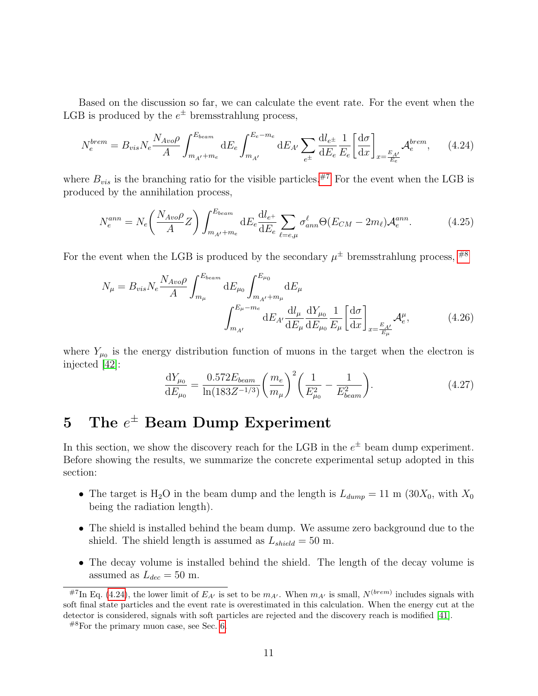Based on the discussion so far, we can calculate the event rate. For the event when the LGB is produced by the  $e^{\pm}$  bremsstrahlung process,

$$
N_e^{brem} = B_{vis} N_e \frac{N_{Avo} \rho}{A} \int_{m_{A'} + m_e}^{E_{beam}} dE_e \int_{m_{A'}}^{E_e - m_e} dE_{A'} \sum_{e^{\pm}} \frac{dl_{e^{\pm}}}{dE_e} \frac{1}{E_e} \left[ \frac{d\sigma}{dx} \right]_{x = \frac{E_{A'}}{E_e}} \mathcal{A}_e^{brem}, \qquad (4.24)
$$

where  $B_{vis}$  is the branching ratio for the visible particles.<sup>[#7](#page-11-1)</sup> For the event when the LGB is produced by the annihilation process,

<span id="page-11-3"></span>
$$
N_e^{ann} = N_e \left(\frac{N_{Avo}\rho}{A}Z\right) \int_{m_{A'}+m_e}^{E_{beam}} dE_e \frac{dl_{e^+}}{dE_e} \sum_{\ell=e,\mu} \sigma_{ann}^{\ell} \Theta(E_{CM} - 2m_{\ell}) \mathcal{A}_e^{ann}.
$$
 (4.25)

For the event when the LGB is produced by the secondary  $\mu^{\pm}$  bremsstrahlung process,  $^{#8}$  $^{#8}$  $^{#8}$ 

$$
N_{\mu} = B_{vis} N_e \frac{N_{Avo} \rho}{A} \int_{m_{\mu}}^{E_{beam}} dE_{\mu_0} \int_{m_{A'} + m_{\mu}}^{E_{\mu_0}} dE_{\mu} \frac{dE_{\mu}}{dE_{\mu}} dE_{\mu} \frac{dV_{\mu_0}}{dE_{\mu}} \frac{1}{dE_{\mu}} \left[ \frac{d\sigma}{dx} \right]_{x = \frac{E_{A'}}{E_{\mu}}} \mathcal{A}_e^{\mu}, \tag{4.26}
$$

where  $Y_{\mu_0}$  is the energy distribution function of muons in the target when the electron is injected [\[42\]](#page-21-5):

$$
\frac{dY_{\mu_0}}{dE_{\mu_0}} = \frac{0.572E_{beam}}{\ln(183Z^{-1/3})} \left(\frac{m_e}{m_\mu}\right)^2 \left(\frac{1}{E_{\mu_0}^2} - \frac{1}{E_{beam}^2}\right).
$$
\n(4.27)

# <span id="page-11-0"></span> $5$  The  $e^\pm$  Beam Dump Experiment

In this section, we show the discovery reach for the LGB in the  $e^{\pm}$  beam dump experiment. Before showing the results, we summarize the concrete experimental setup adopted in this section:

- The target is H<sub>2</sub>O in the beam dump and the length is  $L_{dump} = 11 \text{ m } (30X_0, \text{ with } X_0$ being the radiation length).
- The shield is installed behind the beam dump. We assume zero background due to the shield. The shield length is assumed as  $L_{\text{shield}} = 50$  m.
- The decay volume is installed behind the shield. The length of the decay volume is assumed as  $L_{dec} = 50$  m.

<span id="page-11-1"></span><sup>&</sup>lt;sup>#7</sup>In Eq. [\(4.24\)](#page-11-3), the lower limit of  $E_{A'}$  is set to be  $m_{A'}$ . When  $m_{A'}$  is small,  $N^{(brem)}$  includes signals with soft final state particles and the event rate is overestimated in this calculation. When the energy cut at the detector is considered, signals with soft particles are rejected and the discovery reach is modified [\[41\]](#page-21-6).

<span id="page-11-2"></span> $^{#8}$ For the primary muon case, see Sec. [6.](#page-15-0)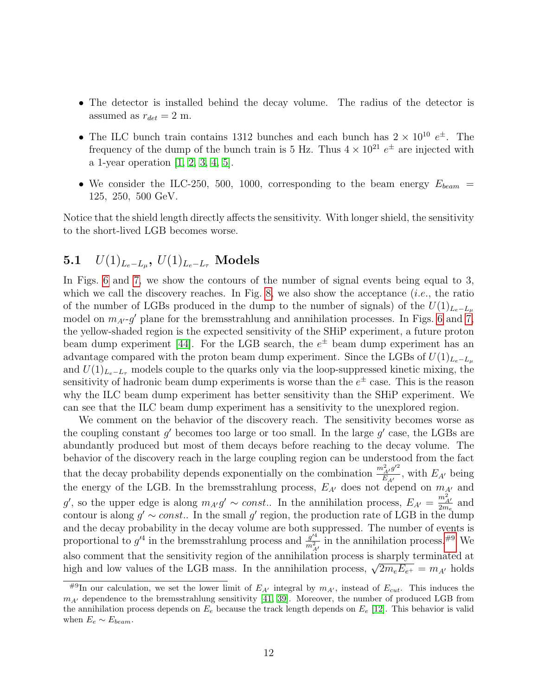- The detector is installed behind the decay volume. The radius of the detector is assumed as  $r_{det} = 2$  m.
- The ILC bunch train contains 1312 bunches and each bunch has  $2 \times 10^{10} e^{\pm}$ . The frequency of the dump of the bunch train is 5 Hz. Thus  $4 \times 10^{21} e^{\pm}$  are injected with a 1-year operation [\[1,](#page-18-0) [2,](#page-18-1) [3,](#page-18-2) [4,](#page-18-3) [5\]](#page-19-0).
- We consider the ILC-250, 500, 1000, corresponding to the beam energy  $E_{beam}$  = 125, 250, 500 GeV.

Notice that the shield length directly affects the sensitivity. With longer shield, the sensitivity to the short-lived LGB becomes worse.

# $\bf{5.1} \quad U(1)_{L_e-L_\mu}, \ U(1)_{L_e-L_\tau} \ \textbf{Models}$

In Figs. [6](#page-13-0) and [7,](#page-14-0) we show the contours of the number of signal events being equal to 3, which we call the discovery reaches. In Fig. [8,](#page-15-1) we also show the acceptance  $(i.e.,$  the ratio of the number of LGBs produced in the dump to the number of signals) of the  $U(1)_{L_e-L_u}$ model on  $m_{A'}$ -g' plane for the bremsstrahlung and annihilation processes. In Figs. [6](#page-13-0) and [7,](#page-14-0) the yellow-shaded region is the expected sensitivity of the SHiP experiment, a future proton beam dump experiment [\[44\]](#page-21-7). For the LGB search, the  $e^{\pm}$  beam dump experiment has an advantage compared with the proton beam dump experiment. Since the LGBs of  $U(1)_{L_e-L_u}$ and  $U(1)_{L_e-L_\tau}$  models couple to the quarks only via the loop-suppressed kinetic mixing, the sensitivity of hadronic beam dump experiments is worse than the  $e^{\pm}$  case. This is the reason why the ILC beam dump experiment has better sensitivity than the SHiP experiment. We can see that the ILC beam dump experiment has a sensitivity to the unexplored region.

We comment on the behavior of the discovery reach. The sensitivity becomes worse as the coupling constant  $g'$  becomes too large or too small. In the large  $g'$  case, the LGBs are abundantly produced but most of them decays before reaching to the decay volume. The behavior of the discovery reach in the large coupling region can be understood from the fact that the decay probability depends exponentially on the combination  $\frac{m_{A'}^2 g'^2}{E}$  $\frac{E_{A'}g}{E_{A'}}$ , with  $E_{A'}$  being the energy of the LGB. In the bremsstrahlung process,  $E_{A'}$  does not depend on  $m_{A'}$  and g', so the upper edge is along  $m_{A'}g' \sim const.$  In the annihilation process,  $E_{A'} = \frac{m_{A'}^2}{2m_e}$  $\frac{m_{A'}}{2m_e}$  and contour is along  $g' \sim const.$  In the small g' region, the production rate of LGB in the dump and the decay probability in the decay volume are both suppressed. The number of events is proportional to  $g'^4$  in the bremsstrahlung process and  $\frac{g'^4}{m^2}$  $\frac{g'^4}{m_{A'}^2}$  in the annihilation process.<sup>[#9](#page-12-0)</sup> We also comment that the sensitivity region of the annihilation process is sharply terminated at also comment that the sensitivity region of the annihilation process is sharply terminated at high and low values of the LGB mass. In the annihilation process,  $\sqrt{2m_eE_{e^+}} = m_{A'}$  holds

<span id="page-12-0"></span> $\frac{\text{H9}}{\text{H9}}$  our calculation, we set the lower limit of  $E_{A'}$  integral by  $m_{A'}$ , instead of  $E_{cut}$ . This induces the  $m_{A'}$  dependence to the bremsstrahlung sensitivity [\[41,](#page-21-6) [39\]](#page-21-3). Moreover, the number of produced LGB from the annihilation process depends on  $E_e$  because the track length depends on  $E_e$  [\[12\]](#page-19-7). This behavior is valid when  $E_e \sim E_{beam}$ .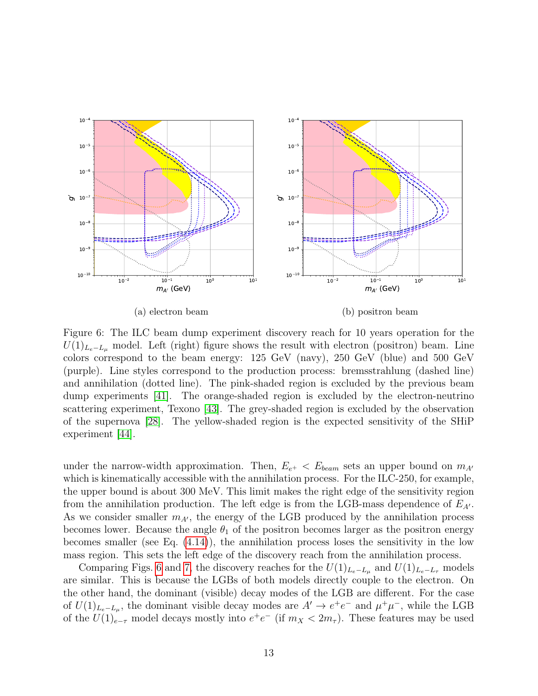<span id="page-13-0"></span>

(a) electron beam

(b) positron beam

Figure 6: The ILC beam dump experiment discovery reach for 10 years operation for the  $U(1)_{L_e-L_\mu}$  model. Left (right) figure shows the result with electron (positron) beam. Line colors correspond to the beam energy: 125 GeV (navy), 250 GeV (blue) and 500 GeV (purple). Line styles correspond to the production process: bremsstrahlung (dashed line) and annihilation (dotted line). The pink-shaded region is excluded by the previous beam dump experiments [\[41\]](#page-21-6). The orange-shaded region is excluded by the electron-neutrino scattering experiment, Texono [\[43\]](#page-21-8). The grey-shaded region is excluded by the observation of the supernova [\[28\]](#page-20-7). The yellow-shaded region is the expected sensitivity of the SHiP experiment [\[44\]](#page-21-7).

under the narrow-width approximation. Then,  $E_{e^+} < E_{beam}$  sets an upper bound on  $m_{A}$ which is kinematically accessible with the annihilation process. For the ILC-250, for example, the upper bound is about 300 MeV. This limit makes the right edge of the sensitivity region from the annihilation production. The left edge is from the LGB-mass dependence of  $E_{A}$ . As we consider smaller  $m_{A'}$ , the energy of the LGB produced by the annihilation process becomes lower. Because the angle  $\theta_1$  of the positron becomes larger as the positron energy becomes smaller (see Eq. [\(4.14\)](#page-9-3)), the annihilation process loses the sensitivity in the low mass region. This sets the left edge of the discovery reach from the annihilation process.

Comparing Figs. [6](#page-13-0) and [7,](#page-14-0) the discovery reaches for the  $U(1)_{L_e-L_\mu}$  and  $U(1)_{L_e-L_\tau}$  models are similar. This is because the LGBs of both models directly couple to the electron. On the other hand, the dominant (visible) decay modes of the LGB are different. For the case of  $U(1)_{L_e-L_\mu}$ , the dominant visible decay modes are  $A' \to e^+e^-$  and  $\mu^+\mu^-$ , while the LGB of the  $U(1)_{e-\tau}$  model decays mostly into  $e^+e^-$  (if  $m_X < 2m_\tau$ ). These features may be used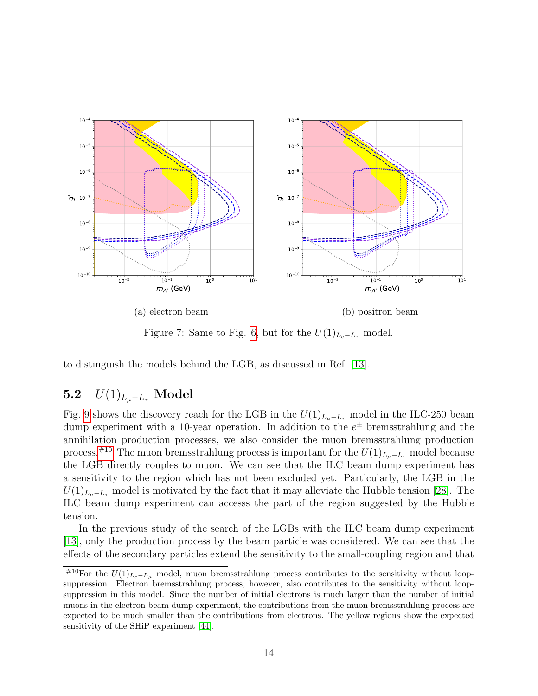<span id="page-14-0"></span>

Figure 7: Same to Fig. [6,](#page-13-0) but for the  $U(1)_{L_e-L_\tau}$  model.

to distinguish the models behind the LGB, as discussed in Ref. [\[13\]](#page-19-8).

# 5.2  $U(1)_{L_u-L_{\tau}}$  Model

Fig. [9](#page-16-0) shows the discovery reach for the LGB in the  $U(1)_{L_{\mu}-L_{\tau}}$  model in the ILC-250 beam dump experiment with a 10-year operation. In addition to the  $e^{\pm}$  bremsstrahlung and the annihilation production processes, we also consider the muon bremsstrahlung production process.<sup>[#10](#page-14-1)</sup> The muon bremsstrahlung process is important for the  $U(1)_{L_{\mu}-L_{\tau}}$  model because the LGB directly couples to muon. We can see that the ILC beam dump experiment has a sensitivity to the region which has not been excluded yet. Particularly, the LGB in the  $U(1)_{L_u-L_{\tau}}$  model is motivated by the fact that it may alleviate the Hubble tension [\[28\]](#page-20-7). The ILC beam dump experiment can accesss the part of the region suggested by the Hubble tension.

In the previous study of the search of the LGBs with the ILC beam dump experiment [\[13\]](#page-19-8), only the production process by the beam particle was considered. We can see that the effects of the secondary particles extend the sensitivity to the small-coupling region and that

<span id="page-14-1"></span><sup>&</sup>lt;sup>#10</sup>For the  $U(1)_{L_e-L_\mu}$  model, muon bremsstrahlung process contributes to the sensitivity without loopsuppression. Electron bremsstrahlung process, however, also contributes to the sensitivity without loopsuppression in this model. Since the number of initial electrons is much larger than the number of initial muons in the electron beam dump experiment, the contributions from the muon bremsstrahlung process are expected to be much smaller than the contributions from electrons. The yellow regions show the expected sensitivity of the SHiP experiment [\[44\]](#page-21-7).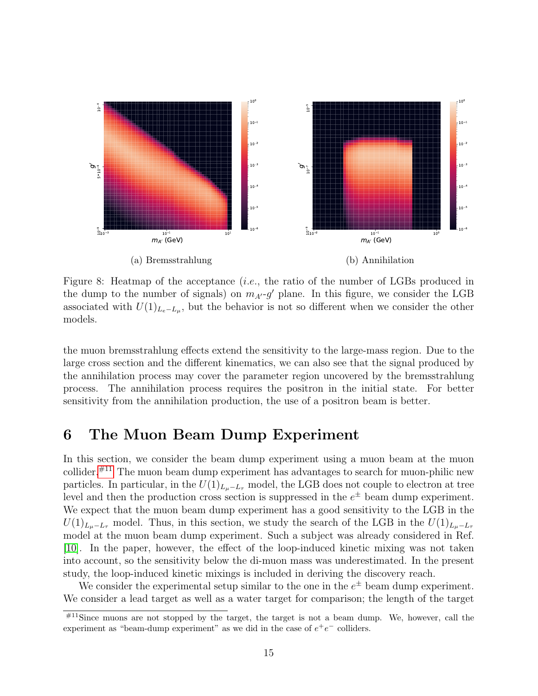<span id="page-15-1"></span>

Figure 8: Heatmap of the acceptance *(i.e.*, the ratio of the number of LGBs produced in the dump to the number of signals) on  $m_{A'}-g'$  plane. In this figure, we consider the LGB associated with  $U(1)_{L_e-L_\mu}$ , but the behavior is not so different when we consider the other models.

the muon bremsstrahlung effects extend the sensitivity to the large-mass region. Due to the large cross section and the different kinematics, we can also see that the signal produced by the annihilation process may cover the parameter region uncovered by the bremsstrahlung process. The annihilation process requires the positron in the initial state. For better sensitivity from the annihilation production, the use of a positron beam is better.

## <span id="page-15-0"></span>6 The Muon Beam Dump Experiment

In this section, we consider the beam dump experiment using a muon beam at the muon collider. $#^{11}$  The muon beam dump experiment has advantages to search for muon-philic new particles. In particular, in the  $U(1)_{L_u-L_x}$  model, the LGB does not couple to electron at tree level and then the production cross section is suppressed in the  $e^{\pm}$  beam dump experiment. We expect that the muon beam dump experiment has a good sensitivity to the LGB in the  $U(1)_{L_u-L_{\tau}}$  model. Thus, in this section, we study the search of the LGB in the  $U(1)_{L_u-L_{\tau}}$ model at the muon beam dump experiment. Such a subject was already considered in Ref. [\[10\]](#page-19-5). In the paper, however, the effect of the loop-induced kinetic mixing was not taken into account, so the sensitivity below the di-muon mass was underestimated. In the present study, the loop-induced kinetic mixings is included in deriving the discovery reach.

We consider the experimental setup similar to the one in the  $e^{\pm}$  beam dump experiment. We consider a lead target as well as a water target for comparison; the length of the target

<span id="page-15-2"></span> $^{#11}$ Since muons are not stopped by the target, the target is not a beam dump. We, however, call the experiment as "beam-dump experiment" as we did in the case of  $e^+e^-$  colliders.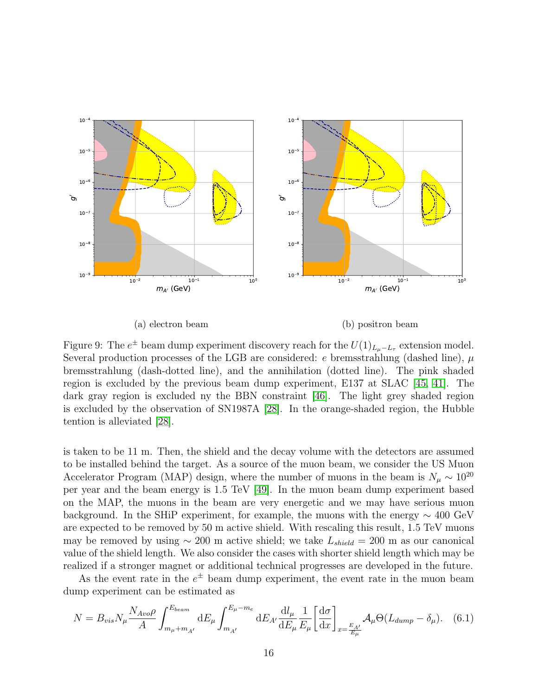<span id="page-16-0"></span>

(a) electron beam

<span id="page-16-1"></span>(b) positron beam

Figure 9: The  $e^{\pm}$  beam dump experiment discovery reach for the  $U(1)_{L_{\mu}-L_{\tau}}$  extension model. Several production processes of the LGB are considered: e bremsstrahlung (dashed line),  $\mu$ bremsstrahlung (dash-dotted line), and the annihilation (dotted line). The pink shaded region is excluded by the previous beam dump experiment, E137 at SLAC [\[45,](#page-21-9) [41\]](#page-21-6). The dark gray region is excluded ny the BBN constraint [\[46\]](#page-21-10). The light grey shaded region is excluded by the observation of SN1987A [\[28\]](#page-20-7). In the orange-shaded region, the Hubble tention is alleviated [\[28\]](#page-20-7).

is taken to be 11 m. Then, the shield and the decay volume with the detectors are assumed to be installed behind the target. As a source of the muon beam, we consider the US Muon Accelerator Program (MAP) design, where the number of muons in the beam is  $N_{\mu} \sim 10^{20}$ per year and the beam energy is 1.5 TeV [\[49\]](#page-22-0). In the muon beam dump experiment based on the MAP, the muons in the beam are very energetic and we may have serious muon background. In the SHiP experiment, for example, the muons with the energy  $\sim 400 \text{ GeV}$ are expected to be removed by 50 m active shield. With rescaling this result, 1.5 TeV muons may be removed by using  $\sim 200$  m active shield; we take  $L_{shield} = 200$  m as our canonical value of the shield length. We also consider the cases with shorter shield length which may be realized if a stronger magnet or additional technical progresses are developed in the future.

As the event rate in the  $e^{\pm}$  beam dump experiment, the event rate in the muon beam dump experiment can be estimated as

$$
N = B_{vis} N_{\mu} \frac{N_{Avo} \rho}{A} \int_{m_{\mu} + m_{A'}}^{E_{beam}} dE_{\mu} \int_{m_{A'}}^{E_{\mu} - m_e} dE_{A'} \frac{dl_{\mu}}{dE_{\mu}} \frac{1}{E_{\mu}} \left[ \frac{d\sigma}{dx} \right]_{x = \frac{E_{A'}}{E_{\mu}}} \mathcal{A}_{\mu} \Theta (L_{dump} - \delta_{\mu}). \tag{6.1}
$$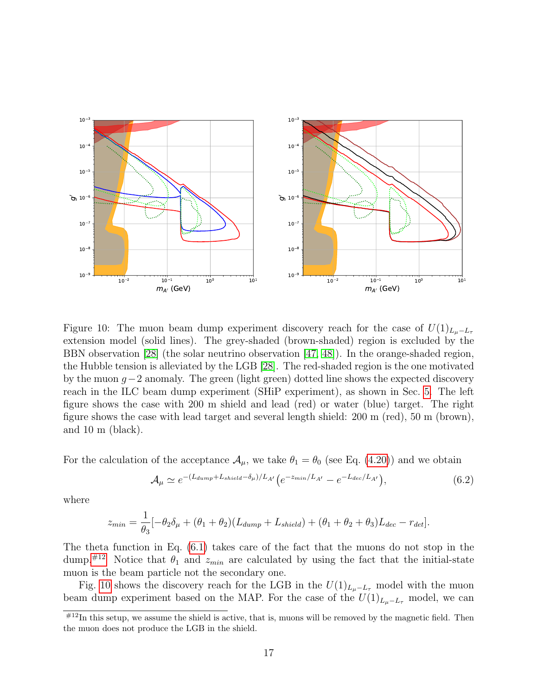<span id="page-17-1"></span>

Figure 10: The muon beam dump experiment discovery reach for the case of  $U(1)_{L_{\mu}-L_{\tau}}$ extension model (solid lines). The grey-shaded (brown-shaded) region is excluded by the BBN observation [\[28\]](#page-20-7) (the solar neutrino observation [\[47,](#page-21-11) [48\]](#page-21-12)). In the orange-shaded region, the Hubble tension is alleviated by the LGB [\[28\]](#page-20-7). The red-shaded region is the one motivated by the muon  $g-2$  anomaly. The green (light green) dotted line shows the expected discovery reach in the ILC beam dump experiment (SHiP experiment), as shown in Sec. [5.](#page-11-0) The left figure shows the case with 200 m shield and lead (red) or water (blue) target. The right figure shows the case with lead target and several length shield: 200 m (red), 50 m (brown), and 10 m (black).

For the calculation of the acceptance  $\mathcal{A}_{\mu}$ , we take  $\theta_1 = \theta_0$  (see Eq. [\(4.20\)](#page-10-1)) and we obtain

$$
\mathcal{A}_{\mu} \simeq e^{-(L_{dump} + L_{shield} - \delta_{\mu})/L_{A'}} \left( e^{-z_{min}/L_{A'}} - e^{-L_{dec}/L_{A'}} \right),\tag{6.2}
$$

where

$$
z_{min} = \frac{1}{\theta_3} [-\theta_2 \delta_\mu + (\theta_1 + \theta_2)(L_{dump} + L_{shield}) + (\theta_1 + \theta_2 + \theta_3)L_{dec} - r_{det}].
$$

The theta function in Eq. [\(6.1\)](#page-16-1) takes care of the fact that the muons do not stop in the dump.<sup>[#12](#page-17-0)</sup> Notice that  $\theta_1$  and  $z_{min}$  are calculated by using the fact that the initial-state muon is the beam particle not the secondary one.

Fig. [10](#page-17-1) shows the discovery reach for the LGB in the  $U(1)_{L_{\mu}-L_{\tau}}$  model with the muon beam dump experiment based on the MAP. For the case of the  $U(1)_{L_u-L_\tau}$  model, we can

<span id="page-17-0"></span> $^{#12}$ In this setup, we assume the shield is active, that is, muons will be removed by the magnetic field. Then the muon does not produce the LGB in the shield.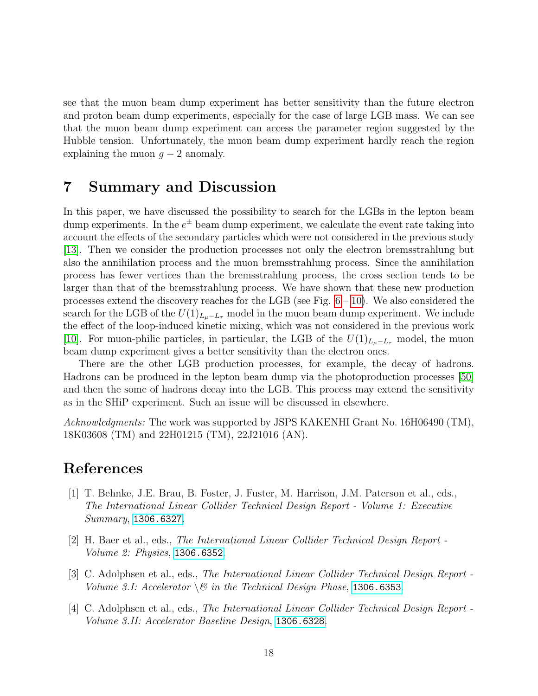see that the muon beam dump experiment has better sensitivity than the future electron and proton beam dump experiments, especially for the case of large LGB mass. We can see that the muon beam dump experiment can access the parameter region suggested by the Hubble tension. Unfortunately, the muon beam dump experiment hardly reach the region explaining the muon  $g - 2$  anomaly.

## <span id="page-18-4"></span>7 Summary and Discussion

In this paper, we have discussed the possibility to search for the LGBs in the lepton beam dump experiments. In the  $e^{\pm}$  beam dump experiment, we calculate the event rate taking into account the effects of the secondary particles which were not considered in the previous study [\[13\]](#page-19-8). Then we consider the production processes not only the electron bremsstrahlung but also the annihilation process and the muon bremsstrahlung process. Since the annihilation process has fewer vertices than the bremsstrahlung process, the cross section tends to be larger than that of the bremsstrahlung process. We have shown that these new production processes extend the discovery reaches for the LGB (see Fig.  $6 - 10$ ). We also considered the search for the LGB of the  $U(1)_{L_u-L_{\tau}}$  model in the muon beam dump experiment. We include the effect of the loop-induced kinetic mixing, which was not considered in the previous work [\[10\]](#page-19-5). For muon-philic particles, in particular, the LGB of the  $U(1)_{L_u-L_x}$  model, the muon beam dump experiment gives a better sensitivity than the electron ones.

There are the other LGB production processes, for example, the decay of hadrons. Hadrons can be produced in the lepton beam dump via the photoproduction processes [\[50\]](#page-22-1) and then the some of hadrons decay into the LGB. This process may extend the sensitivity as in the SHiP experiment. Such an issue will be discussed in elsewhere.

Acknowledgments: The work was supported by JSPS KAKENHI Grant No. 16H06490 (TM), 18K03608 (TM) and 22H01215 (TM), 22J21016 (AN).

## References

- <span id="page-18-0"></span>[1] T. Behnke, J.E. Brau, B. Foster, J. Fuster, M. Harrison, J.M. Paterson et al., eds., The International Linear Collider Technical Design Report - Volume 1: Executive Summary, [1306.6327](https://arxiv.org/abs/1306.6327).
- <span id="page-18-1"></span>[2] H. Baer et al., eds., The International Linear Collider Technical Design Report - Volume 2: Physics, [1306.6352](https://arxiv.org/abs/1306.6352).
- <span id="page-18-2"></span>[3] C. Adolphsen et al., eds., The International Linear Collider Technical Design Report - Volume 3.1: Accelerator  $\setminus \mathcal{B}$  in the Technical Design Phase, [1306.6353](https://arxiv.org/abs/1306.6353).
- <span id="page-18-3"></span>[4] C. Adolphsen et al., eds., The International Linear Collider Technical Design Report - Volume 3.II: Accelerator Baseline Design, [1306.6328](https://arxiv.org/abs/1306.6328).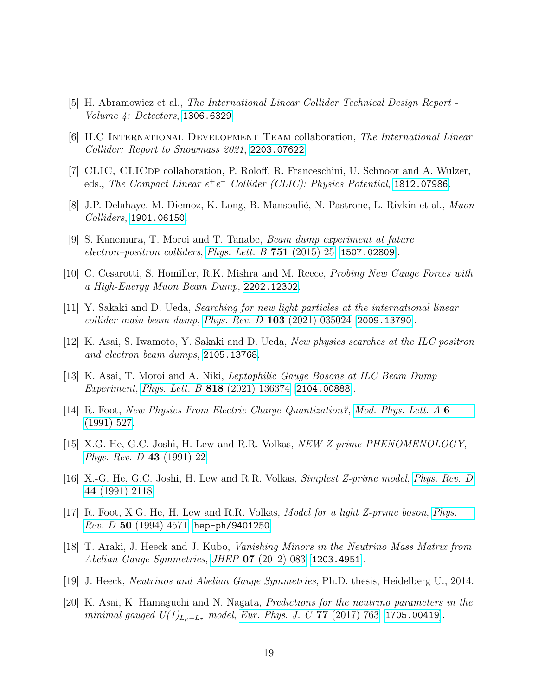- <span id="page-19-0"></span>[5] H. Abramowicz et al., The International Linear Collider Technical Design Report - Volume 4: Detectors, [1306.6329](https://arxiv.org/abs/1306.6329).
- <span id="page-19-1"></span>[6] ILC International Development Team collaboration, The International Linear Collider: Report to Snowmass 2021, [2203.07622](https://arxiv.org/abs/2203.07622).
- <span id="page-19-2"></span>[7] CLIC, CLICDP collaboration, P. Roloff, R. Franceschini, U. Schnoor and A. Wulzer, eds., The Compact Linear  $e^+e^-$  Collider (CLIC): Physics Potential, [1812.07986](https://arxiv.org/abs/1812.07986).
- <span id="page-19-3"></span>[8] J.P. Delahaye, M. Diemoz, K. Long, B. Mansoulié, N. Pastrone, L. Rivkin et al., *Muon* Colliders, [1901.06150](https://arxiv.org/abs/1901.06150).
- <span id="page-19-4"></span>[9] S. Kanemura, T. Moroi and T. Tanabe, Beam dump experiment at future electron–positron colliders, [Phys. Lett. B](https://doi.org/10.1016/j.physletb.2015.10.002)  $751$  (2015) 25 [[1507.02809](https://arxiv.org/abs/1507.02809)].
- <span id="page-19-5"></span>[10] C. Cesarotti, S. Homiller, R.K. Mishra and M. Reece, Probing New Gauge Forces with a High-Energy Muon Beam Dump, [2202.12302](https://arxiv.org/abs/2202.12302).
- <span id="page-19-6"></span>[11] Y. Sakaki and D. Ueda, Searching for new light particles at the international linear collider main beam dump, Phys. Rev. D  $103$  [\(2021\) 035024](https://doi.org/10.1103/PhysRevD.103.035024) [[2009.13790](https://arxiv.org/abs/2009.13790)].
- <span id="page-19-7"></span>[12] K. Asai, S. Iwamoto, Y. Sakaki and D. Ueda, New physics searches at the ILC positron and electron beam dumps, [2105.13768](https://arxiv.org/abs/2105.13768).
- <span id="page-19-8"></span>[13] K. Asai, T. Moroi and A. Niki, Leptophilic Gauge Bosons at ILC Beam Dump Experiment, Phys. Lett. B **818** [\(2021\) 136374](https://doi.org/10.1016/j.physletb.2021.136374) [[2104.00888](https://arxiv.org/abs/2104.00888)].
- <span id="page-19-9"></span>[14] R. Foot, New Physics From Electric Charge Quantization?, [Mod. Phys. Lett. A](https://doi.org/10.1142/S0217732391000543) 6 [\(1991\) 527.](https://doi.org/10.1142/S0217732391000543)
- <span id="page-19-10"></span>[15] X.G. He, G.C. Joshi, H. Lew and R.R. Volkas, *NEW Z-prime PHENOMENOLOGY*, [Phys. Rev. D](https://doi.org/10.1103/PhysRevD.43.R22) 43 (1991) 22.
- <span id="page-19-11"></span>[16] X.-G. He, G.C. Joshi, H. Lew and R.R. Volkas, Simplest Z-prime model, [Phys. Rev. D](https://doi.org/10.1103/PhysRevD.44.2118) 44 [\(1991\) 2118.](https://doi.org/10.1103/PhysRevD.44.2118)
- <span id="page-19-12"></span>[17] R. Foot, X.G. He, H. Lew and R.R. Volkas, Model for a light Z-prime boson, [Phys.](https://doi.org/10.1103/PhysRevD.50.4571) *Rev. D* 50 [\(1994\) 4571](https://doi.org/10.1103/PhysRevD.50.4571)  $|hep-ph/9401250|$  $|hep-ph/9401250|$  $|hep-ph/9401250|$ .
- <span id="page-19-13"></span>[18] T. Araki, J. Heeck and J. Kubo, Vanishing Minors in the Neutrino Mass Matrix from Abelian Gauge Symmetries, JHEP 07 [\(2012\) 083](https://doi.org/10.1007/JHEP07(2012)083) [[1203.4951](https://arxiv.org/abs/1203.4951)].
- <span id="page-19-14"></span>[19] J. Heeck, Neutrinos and Abelian Gauge Symmetries, Ph.D. thesis, Heidelberg U., 2014.
- <span id="page-19-15"></span>[20] K. Asai, K. Hamaguchi and N. Nagata, Predictions for the neutrino parameters in the minimal gauged  $U(1)_{L_u-L_{\tau}}$  model, [Eur. Phys. J. C](https://doi.org/10.1140/epjc/s10052-017-5348-x) 77 (2017) 763 [[1705.00419](https://arxiv.org/abs/1705.00419)].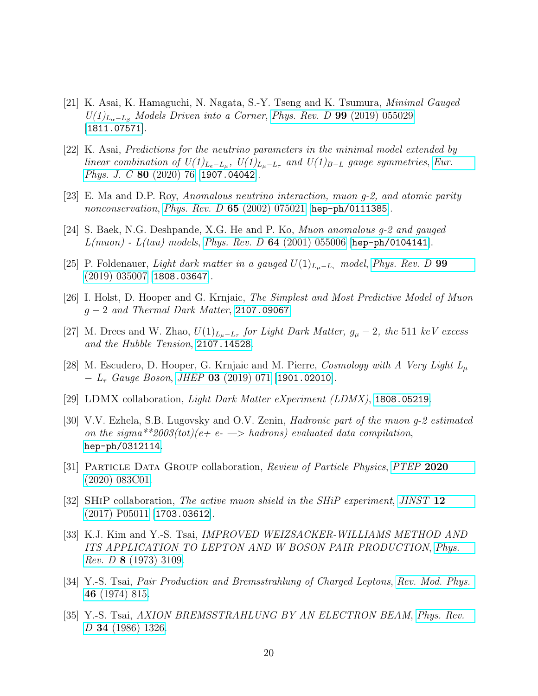- <span id="page-20-0"></span>[21] K. Asai, K. Hamaguchi, N. Nagata, S.-Y. Tseng and K. Tsumura, Minimal Gauged  $U(1)_{L_{\alpha}-L_{\beta}}$  Models Driven into a Corner, Phys. Rev. D 99 [\(2019\) 055029](https://doi.org/10.1103/PhysRevD.99.055029) [[1811.07571](https://arxiv.org/abs/1811.07571)].
- <span id="page-20-1"></span>[22] K. Asai, Predictions for the neutrino parameters in the minimal model extended by linear combination of  $U(1)_{L_e-L_\mu}$ ,  $U(1)_{L_\mu-L_\tau}$  and  $U(1)_{B-L}$  gauge symmetries, [Eur.](https://doi.org/10.1140/epjc/s10052-020-7622-6) [Phys. J. C](https://doi.org/10.1140/epjc/s10052-020-7622-6) 80 (2020) 76 [[1907.04042](https://arxiv.org/abs/1907.04042)].
- <span id="page-20-2"></span>[23] E. Ma and D.P. Roy, Anomalous neutrino interaction, muon g-2, and atomic parity nonconservation, Phys. Rev. D  $65$  [\(2002\) 075021](https://doi.org/10.1103/PhysRevD.65.075021) [[hep-ph/0111385](https://arxiv.org/abs/hep-ph/0111385)].
- <span id="page-20-3"></span>[24] S. Baek, N.G. Deshpande, X.G. He and P. Ko, Muon anomalous g-2 and gauged  $L(muon)$  -  $L(tau)$  models, Phys. Rev. D 64 [\(2001\) 055006](https://doi.org/10.1103/PhysRevD.64.055006) [[hep-ph/0104141](https://arxiv.org/abs/hep-ph/0104141)].
- <span id="page-20-4"></span>[25] P. Foldenauer, Light dark matter in a gauged  $U(1)_{L_u-L_{\tau}}$  model, [Phys. Rev. D](https://doi.org/10.1103/PhysRevD.99.035007) 99 [\(2019\) 035007](https://doi.org/10.1103/PhysRevD.99.035007) [[1808.03647](https://arxiv.org/abs/1808.03647)].
- <span id="page-20-5"></span>[26] I. Holst, D. Hooper and G. Krnjaic, The Simplest and Most Predictive Model of Muon  $g-2$  and Thermal Dark Matter, [2107.09067](https://arxiv.org/abs/2107.09067).
- <span id="page-20-6"></span>[27] M. Drees and W. Zhao,  $U(1)_{L_{\mu}-L_{\tau}}$  for Light Dark Matter,  $g_{\mu}-2$ , the 511 keV excess and the Hubble Tension, [2107.14528](https://arxiv.org/abs/2107.14528).
- <span id="page-20-7"></span>[28] M. Escudero, D. Hooper, G. Krnjaic and M. Pierre, Cosmology with A Very Light  $L_{\mu}$  $- L_{\tau}$  Gauge Boson, JHEP 03 [\(2019\) 071](https://doi.org/10.1007/JHEP03(2019)071) [[1901.02010](https://arxiv.org/abs/1901.02010)].
- <span id="page-20-8"></span>[29] LDMX collaboration, Light Dark Matter eXperiment (LDMX), [1808.05219](https://arxiv.org/abs/1808.05219).
- <span id="page-20-9"></span>[30] V.V. Ezhela, S.B. Lugovsky and O.V. Zenin, Hadronic part of the muon g-2 estimated on the sigma\*\*2003(tot)(e+ e-  $\Rightarrow$  hadrons) evaluated data compilation, [hep-ph/0312114](https://arxiv.org/abs/hep-ph/0312114).
- <span id="page-20-10"></span>[31] Particle Data Group collaboration, Review of Particle Physics, [PTEP](https://doi.org/10.1093/ptep/ptaa104) 2020 [\(2020\) 083C01.](https://doi.org/10.1093/ptep/ptaa104)
- <span id="page-20-11"></span>[32] SHiP collaboration, The active muon shield in the SHiP experiment, [JINST](https://doi.org/10.1088/1748-0221/12/05/P05011) 12 [\(2017\) P05011](https://doi.org/10.1088/1748-0221/12/05/P05011) [[1703.03612](https://arxiv.org/abs/1703.03612)].
- <span id="page-20-12"></span>[33] K.J. Kim and Y.-S. Tsai, IMPROVED WEIZSACKER-WILLIAMS METHOD AND ITS APPLICATION TO LEPTON AND W BOSON PAIR PRODUCTION, [Phys.](https://doi.org/10.1103/PhysRevD.8.3109) Rev. D 8 [\(1973\) 3109.](https://doi.org/10.1103/PhysRevD.8.3109)
- <span id="page-20-13"></span>[34] Y.-S. Tsai, Pair Production and Bremsstrahlung of Charged Leptons, [Rev. Mod. Phys.](https://doi.org/10.1103/RevModPhys.46.815) 46 [\(1974\) 815.](https://doi.org/10.1103/RevModPhys.46.815)
- <span id="page-20-14"></span>[35] Y.-S. Tsai, AXION BREMSSTRAHLUNG BY AN ELECTRON BEAM, [Phys. Rev.](https://doi.org/10.1103/PhysRevD.34.1326) D 34 [\(1986\) 1326.](https://doi.org/10.1103/PhysRevD.34.1326)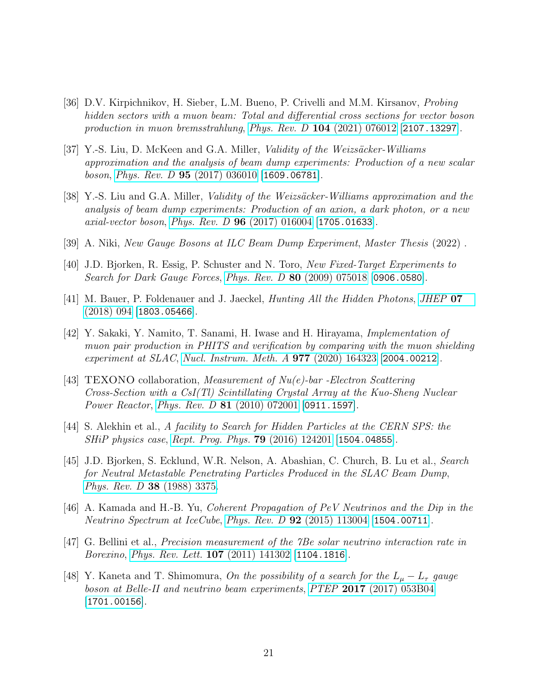- <span id="page-21-0"></span>[36] D.V. Kirpichnikov, H. Sieber, L.M. Bueno, P. Crivelli and M.M. Kirsanov, Probing hidden sectors with a muon beam: Total and differential cross sections for vector boson production in muon bremsstrahlung, Phys. Rev. D  $104$  [\(2021\) 076012](https://doi.org/10.1103/PhysRevD.104.076012) [[2107.13297](https://arxiv.org/abs/2107.13297)].
- <span id="page-21-1"></span>[37] Y.-S. Liu, D. McKeen and G.A. Miller, *Validity of the Weizsäcker-Williams* approximation and the analysis of beam dump experiments: Production of a new scalar boson, Phys. Rev. D  $95$  [\(2017\) 036010](https://doi.org/10.1103/PhysRevD.95.036010) [[1609.06781](https://arxiv.org/abs/1609.06781)].
- <span id="page-21-2"></span>[38] Y.-S. Liu and G.A. Miller, *Validity of the Weizsäcker-Williams approximation and the* analysis of beam dump experiments: Production of an axion, a dark photon, or a new axial-vector boson, Phys. Rev. D  $96$  [\(2017\) 016004](https://doi.org/10.1103/PhysRevD.96.016004) [[1705.01633](https://arxiv.org/abs/1705.01633)].
- <span id="page-21-3"></span>[39] A. Niki, New Gauge Bosons at ILC Beam Dump Experiment, Master Thesis (2022) .
- <span id="page-21-4"></span>[40] J.D. Bjorken, R. Essig, P. Schuster and N. Toro, New Fixed-Target Experiments to Search for Dark Gauge Forces, Phys. Rev. D 80 [\(2009\) 075018](https://doi.org/10.1103/PhysRevD.80.075018) [[0906.0580](https://arxiv.org/abs/0906.0580)].
- <span id="page-21-6"></span>[41] M. Bauer, P. Foldenauer and J. Jaeckel, *Hunting All the Hidden Photons*, *[JHEP](https://doi.org/10.1007/JHEP07(2018)094)* 07  $(2018)$  094  $|1803.05466|$  $|1803.05466|$  $|1803.05466|$ .
- <span id="page-21-5"></span>[42] Y. Sakaki, Y. Namito, T. Sanami, H. Iwase and H. Hirayama, Implementation of muon pair production in PHITS and verification by comparing with the muon shielding experiment at SLAC, [Nucl. Instrum. Meth. A](https://doi.org/10.1016/j.nima.2020.164323) 977 (2020) 164323 [[2004.00212](https://arxiv.org/abs/2004.00212)].
- <span id="page-21-8"></span>[43] TEXONO collaboration, *Measurement of Nu(e)*-bar -Electron Scattering Cross-Section with a CsI(Tl) Scintillating Crystal Array at the Kuo-Sheng Nuclear Power Reactor, Phys. Rev. D 81 [\(2010\) 072001](https://doi.org/10.1103/PhysRevD.81.072001) [[0911.1597](https://arxiv.org/abs/0911.1597)].
- <span id="page-21-7"></span>[44] S. Alekhin et al., A facility to Search for Hidden Particles at the CERN SPS: the SHiP physics case, [Rept. Prog. Phys.](https://doi.org/10.1088/0034-4885/79/12/124201) 79 (2016) 124201 [[1504.04855](https://arxiv.org/abs/1504.04855)].
- <span id="page-21-9"></span>[45] J.D. Bjorken, S. Ecklund, W.R. Nelson, A. Abashian, C. Church, B. Lu et al., Search for Neutral Metastable Penetrating Particles Produced in the SLAC Beam Dump, [Phys. Rev. D](https://doi.org/10.1103/PhysRevD.38.3375) 38 (1988) 3375.
- <span id="page-21-10"></span>[46] A. Kamada and H.-B. Yu, Coherent Propagation of PeV Neutrinos and the Dip in the Neutrino Spectrum at IceCube, Phys. Rev. D  $92$  [\(2015\) 113004](https://doi.org/10.1103/PhysRevD.92.113004) [[1504.00711](https://arxiv.org/abs/1504.00711)].
- <span id="page-21-11"></span>[47] G. Bellini et al., Precision measurement of the 7Be solar neutrino interaction rate in Borexino, [Phys. Rev. Lett.](https://doi.org/10.1103/PhysRevLett.107.141302) 107 (2011) 141302 [[1104.1816](https://arxiv.org/abs/1104.1816)].
- <span id="page-21-12"></span>[48] Y. Kaneta and T. Shimomura, On the possibility of a search for the  $L_{\mu}-L_{\tau}$  gauge boson at Belle-II and neutrino beam experiments, PTEP 2017 [\(2017\) 053B04](https://doi.org/10.1093/ptep/ptx050) [[1701.00156](https://arxiv.org/abs/1701.00156)].